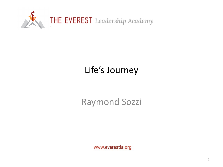

## Life's Journey

## Raymond Sozzi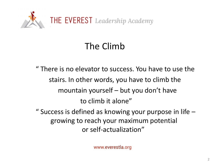

## The Climb

" There is no elevator to success. You have to use the stairs. In other words, you have to climb the mountain yourself – but you don't have to climb it alone" " Success is defined as knowing your purpose in life – growing to reach your maximum potential or self-actualization"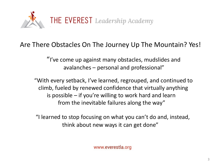

## Are There Obstacles On The Journey Up The Mountain? Yes!

"I've come up against many obstacles, mudslides and avalanches – personal and professional"

"With every setback, I've learned, regrouped, and continued to climb, fueled by renewed confidence that virtually anything is possible – if you're willing to work hard and learn from the inevitable failures along the way"

"I learned to stop focusing on what you can't do and, instead, think about new ways it can get done"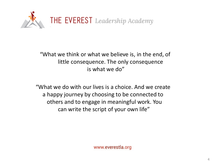

"What we think or what we believe is, in the end, of little consequence. The only consequence is what we do"

"What we do with our lives is a choice. And we create a happy journey by choosing to be connected to others and to engage in meaningful work. You can write the script of your own life"